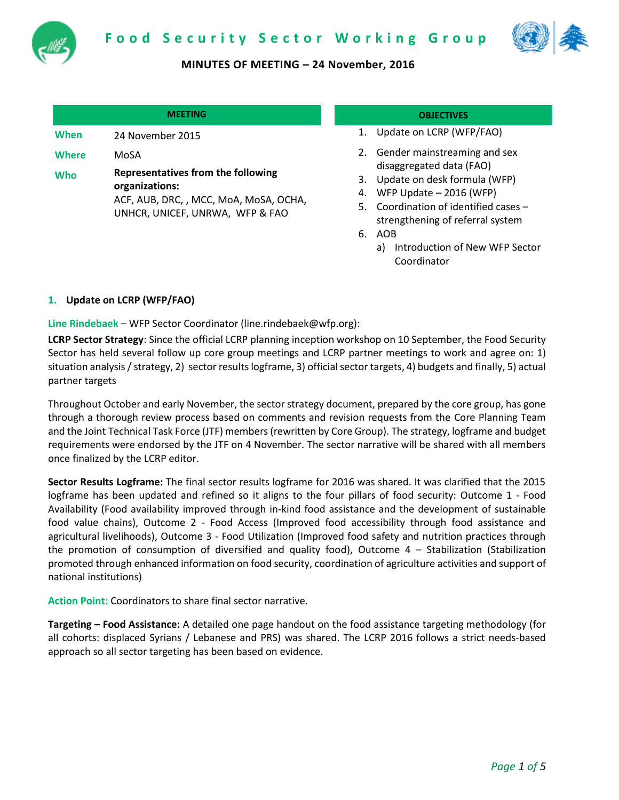



|       | <b>MEETING</b>                                |
|-------|-----------------------------------------------|
| When  | 24 November 2015                              |
| Where | MoSA                                          |
| Who   | <b>Representatives from</b><br>araanizatione: |

**the following organizations:** ACF, AUB, DRC, , MCC, MoA, MoSA, OCHA, UNHCR, UNICEF, UNRWA, WFP & FAO

## **MEETING OBJECTIVES**

- 1. Update on LCRP (WFP/FAO)
- 2. Gender mainstreaming and sex disaggregated data (FAO)
- 3. Update on desk formula (WFP)
- 4. WFP Update 2016 (WFP)
- 5. Coordination of identified cases strengthening of referral system
- 6. AOB
	- a) Introduction of New WFP Sector Coordinator

# **1. Update on LCRP (WFP/FAO)**

**Line Rindebaek** – WFP Sector Coordinator (line.rindebaek@wfp.org):

**LCRP Sector Strategy**: Since the official LCRP planning inception workshop on 10 September, the Food Security Sector has held several follow up core group meetings and LCRP partner meetings to work and agree on: 1) situation analysis / strategy, 2) sector results logframe, 3) official sector targets, 4) budgets and finally, 5) actual partner targets

Throughout October and early November, the sector strategy document, prepared by the core group, has gone through a thorough review process based on comments and revision requests from the Core Planning Team and the Joint Technical Task Force (JTF) members (rewritten by Core Group). The strategy, logframe and budget requirements were endorsed by the JTF on 4 November. The sector narrative will be shared with all members once finalized by the LCRP editor.

**Sector Results Logframe:** The final sector results logframe for 2016 was shared. It was clarified that the 2015 logframe has been updated and refined so it aligns to the four pillars of food security: Outcome 1 - Food Availability (Food availability improved through in-kind food assistance and the development of sustainable food value chains), Outcome 2 - Food Access (Improved food accessibility through food assistance and agricultural livelihoods), Outcome 3 - Food Utilization (Improved food safety and nutrition practices through the promotion of consumption of diversified and quality food), Outcome 4 – Stabilization (Stabilization promoted through enhanced information on food security, coordination of agriculture activities and support of national institutions)

**Action Point:** Coordinators to share final sector narrative.

**Targeting – Food Assistance:** A detailed one page handout on the food assistance targeting methodology (for all cohorts: displaced Syrians / Lebanese and PRS) was shared. The LCRP 2016 follows a strict needs-based approach so all sector targeting has been based on evidence.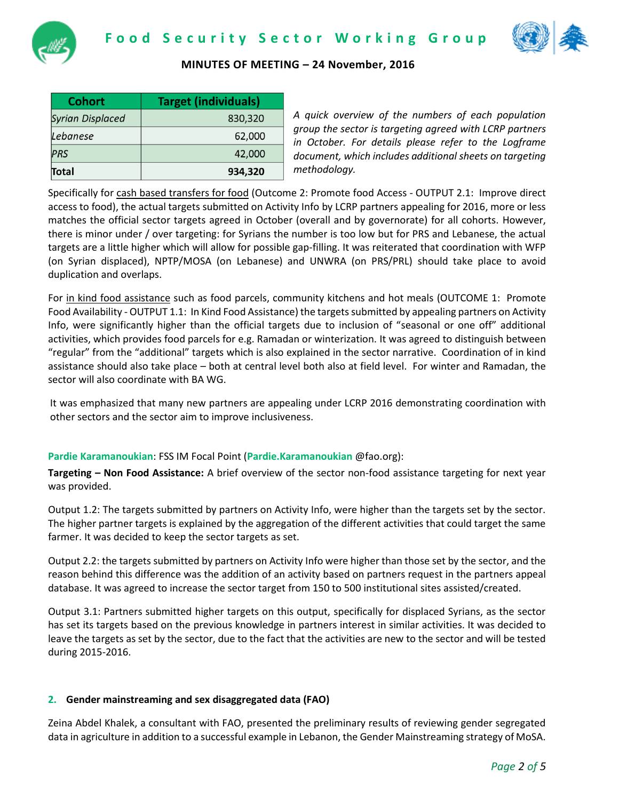



| <b>Cohort</b>           | <b>Target (individuals)</b> |
|-------------------------|-----------------------------|
| <b>Syrian Displaced</b> | 830,320                     |
| Lebanese                | 62,000                      |
| <b>PRS</b>              | 42,000                      |
| Total                   | 934,320                     |

*A quick overview of the numbers of each population group the sector is targeting agreed with LCRP partners in October. For details please refer to the Logframe document, which includes additional sheets on targeting methodology.*

Specifically for cash based transfers for food (Outcome 2: Promote food Access - OUTPUT 2.1: Improve direct access to food), the actual targets submitted on Activity Info by LCRP partners appealing for 2016, more or less matches the official sector targets agreed in October (overall and by governorate) for all cohorts. However, there is minor under / over targeting: for Syrians the number is too low but for PRS and Lebanese, the actual targets are a little higher which will allow for possible gap-filling. It was reiterated that coordination with WFP (on Syrian displaced), NPTP/MOSA (on Lebanese) and UNWRA (on PRS/PRL) should take place to avoid duplication and overlaps.

For in kind food assistance such as food parcels, community kitchens and hot meals (OUTCOME 1: Promote Food Availability - OUTPUT 1.1: In Kind Food Assistance) the targets submitted by appealing partners on Activity Info, were significantly higher than the official targets due to inclusion of "seasonal or one off" additional activities, which provides food parcels for e.g. Ramadan or winterization. It was agreed to distinguish between "regular" from the "additional" targets which is also explained in the sector narrative. Coordination of in kind assistance should also take place – both at central level both also at field level. For winter and Ramadan, the sector will also coordinate with BA WG.

It was emphasized that many new partners are appealing under LCRP 2016 demonstrating coordination with other sectors and the sector aim to improve inclusiveness.

# **Pardie Karamanoukian**: FSS IM Focal Point (**Pardie.Karamanoukian** @fao.org):

**Targeting – Non Food Assistance:** A brief overview of the sector non-food assistance targeting for next year was provided.

Output 1.2: The targets submitted by partners on Activity Info, were higher than the targets set by the sector. The higher partner targets is explained by the aggregation of the different activities that could target the same farmer. It was decided to keep the sector targets as set.

Output 2.2: the targets submitted by partners on Activity Info were higher than those set by the sector, and the reason behind this difference was the addition of an activity based on partners request in the partners appeal database. It was agreed to increase the sector target from 150 to 500 institutional sites assisted/created.

Output 3.1: Partners submitted higher targets on this output, specifically for displaced Syrians, as the sector has set its targets based on the previous knowledge in partners interest in similar activities. It was decided to leave the targets as set by the sector, due to the fact that the activities are new to the sector and will be tested during 2015-2016.

# **2. Gender mainstreaming and sex disaggregated data (FAO)**

Zeina Abdel Khalek, a consultant with FAO, presented the preliminary results of reviewing gender segregated data in agriculture in addition to a successful example in Lebanon, the Gender Mainstreaming strategy of MoSA.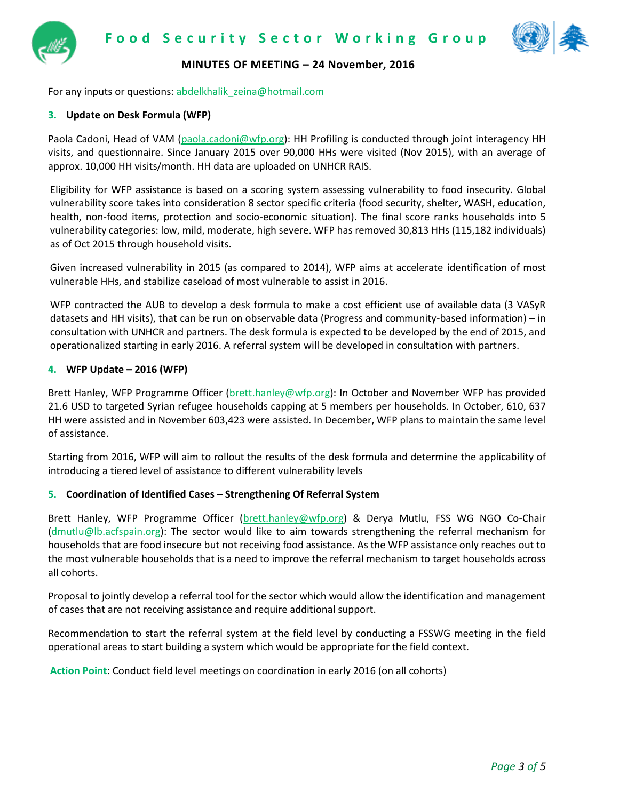

For any inputs or questions[: abdelkhalik\\_zeina@hotmail.com](mailto:abdelkhalik_zeina@hotmail.com)

# **3. Update on Desk Formula (WFP)**

Paola Cadoni, Head of VAM [\(paola.cadoni@wfp.org\)](mailto:paola.cadoni@wfp.org): HH Profiling is conducted through joint interagency HH visits, and questionnaire. Since January 2015 over 90,000 HHs were visited (Nov 2015), with an average of approx. 10,000 HH visits/month. HH data are uploaded on UNHCR RAIS.

Eligibility for WFP assistance is based on a scoring system assessing vulnerability to food insecurity. Global vulnerability score takes into consideration 8 sector specific criteria (food security, shelter, WASH, education, health, non-food items, protection and socio-economic situation). The final score ranks households into 5 vulnerability categories: low, mild, moderate, high severe. WFP has removed 30,813 HHs (115,182 individuals) as of Oct 2015 through household visits.

Given increased vulnerability in 2015 (as compared to 2014), WFP aims at accelerate identification of most vulnerable HHs, and stabilize caseload of most vulnerable to assist in 2016.

WFP contracted the AUB to develop a desk formula to make a cost efficient use of available data (3 VASyR datasets and HH visits), that can be run on observable data (Progress and community-based information) – in consultation with UNHCR and partners. The desk formula is expected to be developed by the end of 2015, and operationalized starting in early 2016. A referral system will be developed in consultation with partners.

#### **4. WFP Update – 2016 (WFP)**

Brett Hanley, WFP Programme Officer [\(brett.hanley@wfp.org\)](mailto:brett.hanley@wfp.org): In October and November WFP has provided 21.6 USD to targeted Syrian refugee households capping at 5 members per households. In October, 610, 637 HH were assisted and in November 603,423 were assisted. In December, WFP plans to maintain the same level of assistance.

Starting from 2016, WFP will aim to rollout the results of the desk formula and determine the applicability of introducing a tiered level of assistance to different vulnerability levels

# **5. Coordination of Identified Cases – Strengthening Of Referral System**

Brett Hanley, WFP Programme Officer [\(brett.hanley@wfp.org\)](mailto:brett.hanley@wfp.org) & Derya Mutlu, FSS WG NGO Co-Chair [\(dmutlu@lb.acfspain.org\)](mailto:dmutlu@lb.acfspain.org): The sector would like to aim towards strengthening the referral mechanism for households that are food insecure but not receiving food assistance. As the WFP assistance only reaches out to the most vulnerable households that is a need to improve the referral mechanism to target households across all cohorts.

Proposal to jointly develop a referral tool for the sector which would allow the identification and management of cases that are not receiving assistance and require additional support.

Recommendation to start the referral system at the field level by conducting a FSSWG meeting in the field operational areas to start building a system which would be appropriate for the field context.

**Action Point**: Conduct field level meetings on coordination in early 2016 (on all cohorts)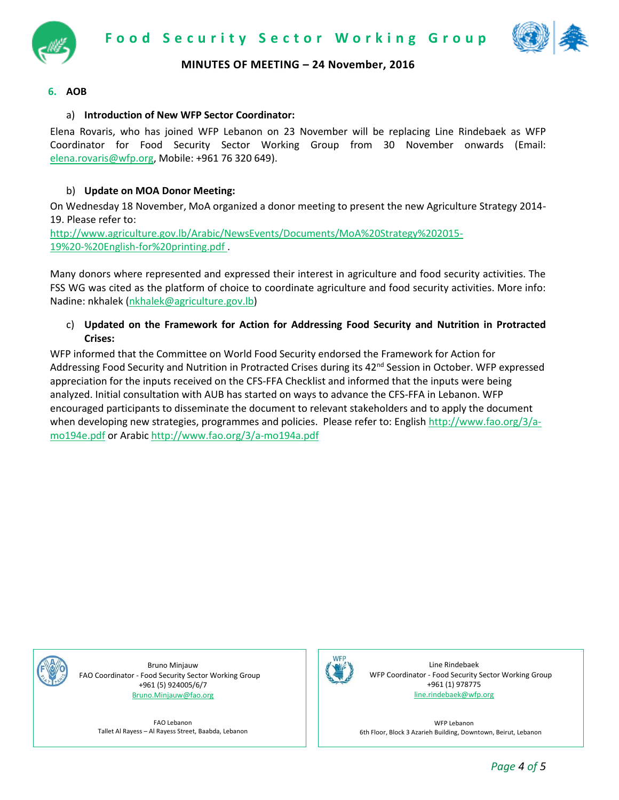



## **6. AOB**

# a) **Introduction of New WFP Sector Coordinator:**

Elena Rovaris, who has joined WFP Lebanon on 23 November will be replacing Line Rindebaek as WFP Coordinator for Food Security Sector Working Group from 30 November onwards (Email: [elena.rovaris@wfp.org,](mailto:elena.rovaris@wfp.org) Mobile: +961 76 320 649).

## b) **Update on MOA Donor Meeting:**

On Wednesday 18 November, MoA organized a donor meeting to present the new Agriculture Strategy 2014- 19. Please refer to:

[http://www.agriculture.gov.lb/Arabic/NewsEvents/Documents/MoA%20Strategy%202015-](http://www.agriculture.gov.lb/Arabic/NewsEvents/Documents/MoA%20Strategy%202015-19%20-%20English-for%20printing.pdf) [19%20-%20English-for%20printing.pdf](http://www.agriculture.gov.lb/Arabic/NewsEvents/Documents/MoA%20Strategy%202015-19%20-%20English-for%20printing.pdf) .

Many donors where represented and expressed their interest in agriculture and food security activities. The FSS WG was cited as the platform of choice to coordinate agriculture and food security activities. More info: Nadine: nkhalek [\(nkhalek@agriculture.gov.lb\)](mailto:nkhalek@agriculture.gov.lb)

## c) **Updated on the Framework for Action for Addressing Food Security and Nutrition in Protracted Crises:**

WFP informed that the Committee on World Food Security endorsed the Framework for Action for Addressing Food Security and Nutrition in Protracted Crises during its 42<sup>nd</sup> Session in October. WFP expressed appreciation for the inputs received on the CFS-FFA Checklist and informed that the inputs were being analyzed. Initial consultation with AUB has started on ways to advance the CFS-FFA in Lebanon. WFP encouraged participants to disseminate the document to relevant stakeholders and to apply the document when developing new strategies, programmes and policies. Please refer to: English [http://www.fao.org/3/a](http://www.fao.org/3/a-mo194e.pdf)[mo194e.pdf](http://www.fao.org/3/a-mo194e.pdf) or Arabi[c http://www.fao.org/3/a-mo194a.pdf](http://www.fao.org/3/a-mo194a.pdf)



Bruno Minjauw FAO Coordinator - Food Security Sector Working Group +961 (5) 924005/6/7 [Bruno.Minjauw@fao.org](mailto:Bruno.Minjauw@fao.org)

FAO Lebanon Tallet Al Rayess – Al Rayess Street, Baabda, Lebanon



Line Rindebaek WFP Coordinator - Food Security Sector Working Group +961 (1) 978775 [line.rindebaek@wfp.org](mailto:line.rindebaek@wfp.org)

WFP Lebanon 6th Floor, Block 3 Azarieh Building, Downtown, Beirut, Lebanon